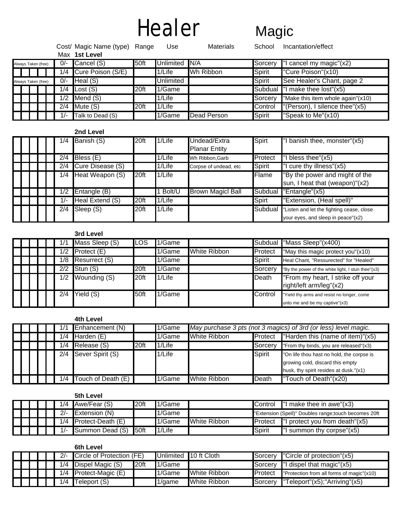# Healer Magic

|                     |     | Cost/ Magic Name (type) Range<br>Max 1st Level |      | Use              | <b>Materials</b> | School  | Incantation/effect                |
|---------------------|-----|------------------------------------------------|------|------------------|------------------|---------|-----------------------------------|
| Always Taken (free) | 0/- | Cancel (S)                                     | 50ft | Unlimited        | N/A              | Sorcery | cancel my magic"(x2)              |
|                     | 1/4 | Cure Poison (S/E)                              |      | 1/Life           | Wh Ribbon        | Spirit  | "Cure Poison"(x10)                |
| Always Taken (free) | 0/- | Heal $(S)$                                     |      | <b>Unlimited</b> |                  | Spirit  | See Healer's Chant, page 2        |
|                     | 1/4 | Lost $(S)$                                     | 20ft | 1/Game           |                  |         | Subdual "I make thee lost"(x5)    |
|                     | 1/2 | Mend (S)                                       |      | 1/Life           |                  | Sorcery | "Make this item whole again"(x10) |
|                     | 2/4 | Mute (S)                                       | 20ft | 1/Life           |                  | Control | "(Person), I silence thee"(x5)    |
|                     | 1/- | Talk to Dead (S)                               |      | 1/Game           | Dead Person      | Spirit  | "Speak to Me"(x10)                |

### **2nd Level**

|  |  | 1/4        | Banish (S)       | 20ft | 1/Life | Undead/Extra             | Spirt   | "I banish thee, monster"(x5)             |
|--|--|------------|------------------|------|--------|--------------------------|---------|------------------------------------------|
|  |  |            |                  |      |        | <b>Planar Entity</b>     |         |                                          |
|  |  | 2/4        | Bless (E)        |      | 1/Life | Wh Ribbon, Garb          | Protect | $l$ bless thee" $(x5)$                   |
|  |  | 2/4        | Cure Disease (S) |      | 1/Life | Corpse of undead, etc    | Spirit  | "I cure thy illness"(x5)                 |
|  |  | 1/4        | Heat Weapon (S)  | 20ft | 1/Life |                          | Flame   | "By the power and might of the           |
|  |  |            |                  |      |        |                          |         | sun, I heat that (weapon)"(x2)           |
|  |  | 1/2        | Entangle (B)     |      | Bolt/U | <b>Brown Magicl Ball</b> | Subdual | $\overline{\text{'Entangle}}$ " $(x5)$   |
|  |  | $\sqrt{-}$ | Heal Extend (S)  | 20ft | 1/Life |                          | Spirt   | "Extension, (Heal spell)"                |
|  |  | 2/4        | Sleep (S)        | 20ft | 1/Life |                          | Subdual | Listen and let the fighting cease, close |
|  |  |            |                  |      |        |                          |         | your eyes, and sleep in peace"(x2)       |

## **3rd Level**

|  |     | Mass Sleep (S)                  | ILOS | 1/Game |                     | <b>Subdual</b> | "Mass Sleep"(x400)                                                           |
|--|-----|---------------------------------|------|--------|---------------------|----------------|------------------------------------------------------------------------------|
|  | /2  | $\overline{\text{Profect}}$ (E) |      | 1/Game | <b>White Ribbon</b> | Protect        | "May this magic protect you"(x10)                                            |
|  | /8  | Resurrect (S)                   |      | 1/Game |                     | Spirit         | Heal Chant, "Ressurected" for "Healed"                                       |
|  | 2/2 | Stun (S)                        | 20ft | 1/Game |                     | Sorcery        | "By the power of the white light, I stun thee"(x3)                           |
|  | 1/2 | Wounding (S)                    | 20ft | 1/Life |                     | Death          | "From my heart, I strike off your<br>right/left arm/leg"(x2)                 |
|  | 2/4 | Yield (S)                       | 50ft | 1/Game |                     | Control        | "Yield thy arms and resist no longer, come<br>unto me and be my captive"(x3) |

# **4th Level**

|  |  |     | Enhancement (N)     |      | 1/Game | May purchase 3 pts (not 3 magics) of 3rd (or less) level magic. |         |                                           |  |
|--|--|-----|---------------------|------|--------|-----------------------------------------------------------------|---------|-------------------------------------------|--|
|  |  | /4  | <b>Harden</b> $(E)$ |      | 1/Game | White Ribbon<br><b>Protect</b>                                  |         | "Harden this (name of item)"(x5)          |  |
|  |  | /4  | Release (S)         | 20ft | 1/Life |                                                                 | Sorcery | "From thy binds, you are released"(x3)    |  |
|  |  | 2/4 | Sever Spirit (S)    |      | 1/Life |                                                                 | Spirit  | "On life thou hast no hold, the corpse is |  |
|  |  |     |                     |      |        |                                                                 |         | growing cold, discard this empty          |  |
|  |  |     |                     |      |        |                                                                 |         | husk, thy spirit resides at dusk."(x1)    |  |
|  |  | /4  | Touch of Death (E)  |      | 1/Game | White Ribbon                                                    | Death   | <b>T</b> ouch of Death" $(x20)$           |  |

# **5th Level**

|  |  | 1/4   | Awe/Fear (S)              | 20ft | 1/Game |              | <b>IControl</b><br>I make thee in awe"(x3)            |                                   |  |
|--|--|-------|---------------------------|------|--------|--------------|-------------------------------------------------------|-----------------------------------|--|
|  |  | $2/-$ | <b>Extension</b> $(N)$    |      | 1/Game |              | "Extension (Spell)" Doubles range; touch becomes 20ft |                                   |  |
|  |  |       | $1/4$ Protect-Death $(E)$ |      | 1/Game | White Ribbon | <b>Protect</b>                                        | "I protect you from death" $(x5)$ |  |
|  |  | $1/-$ | Summon Dead (S) 50ft      |      | 1/Life |              | Spirit                                                | "I summon thy corpse" $(x5)$      |  |

|  |  |       | 6th Level                         |                   |           |                       |                  |                                           |
|--|--|-------|-----------------------------------|-------------------|-----------|-----------------------|------------------|-------------------------------------------|
|  |  | $2/-$ | Circle of Protection (FE)         |                   |           | Unlimited 10 ft Cloth |                  | Sorcery "Circle of protection"(x5)        |
|  |  |       | $\overline{1/4}$ Dispel Magic (S) | 120 <sub>ft</sub> | $1/G$ ame |                       |                  | Sorcery  "I dispel that magic"(x5)        |
|  |  |       | $1/4$ Protect-Magic (E)           |                   | 1/Game    | White Ribbon          | <b>I</b> Protect | "Protection from all forms of magic"(x10) |
|  |  |       | $\overline{1/4}$ Teleport (S)     |                   | 1/game    | White Ribbon          | <b>I</b> Sorcerv | "Teleport"(x5);"Arriving"(x5)             |